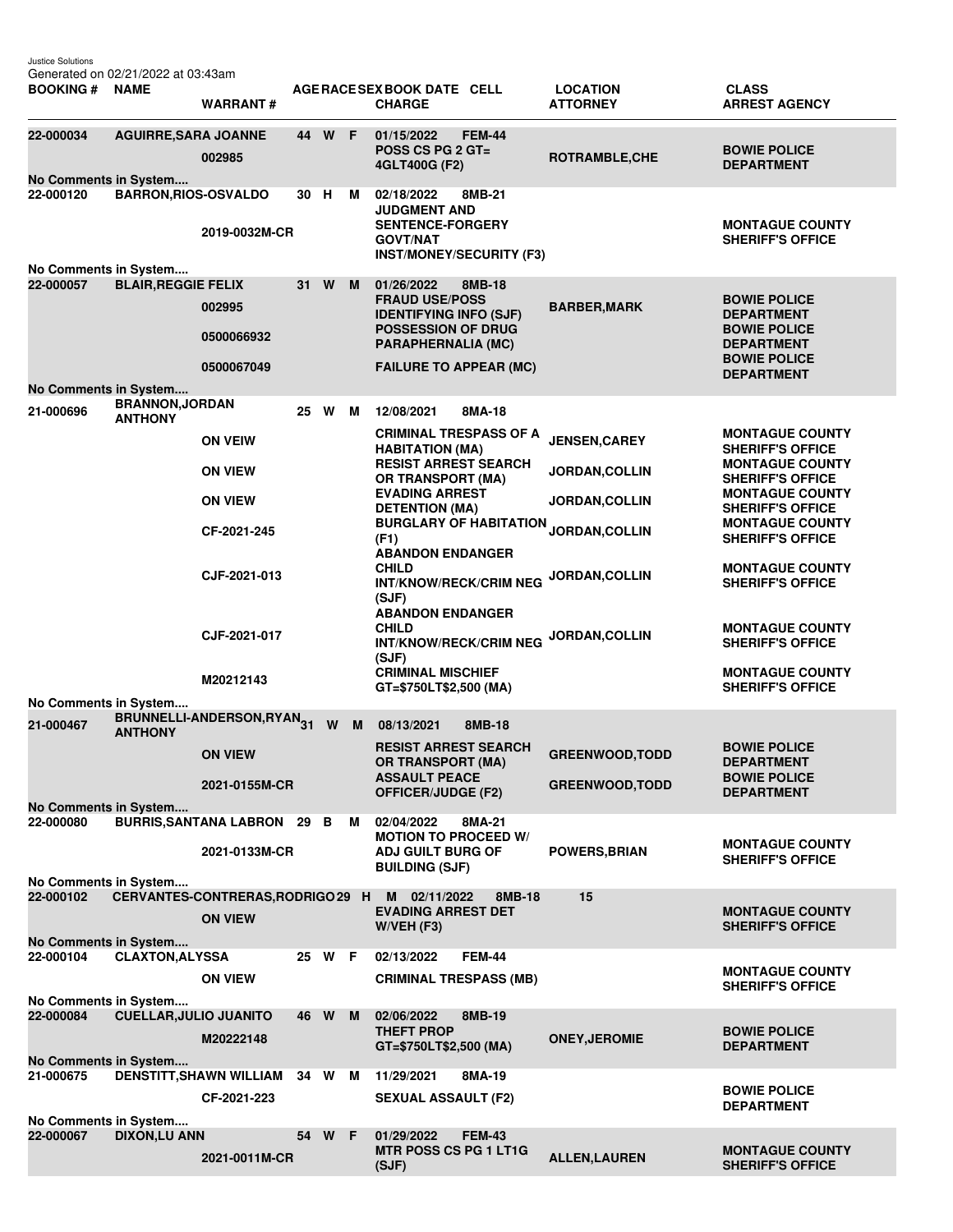| <b>BOOKING#</b>                                                                                    | <b>NAME</b>                   | <b>WARRANT#</b>                    |    |        |   | AGE RACE SEX BOOK DATE CELL<br><b>CHARGE</b>                                           | <b>LOCATION</b><br><b>ATTORNEY</b> | <b>CLASS</b><br><b>ARREST AGENCY</b>                                        |
|----------------------------------------------------------------------------------------------------|-------------------------------|------------------------------------|----|--------|---|----------------------------------------------------------------------------------------|------------------------------------|-----------------------------------------------------------------------------|
| 22-000034                                                                                          | <b>AGUIRRE, SARA JOANNE</b>   | 002985                             | 44 | W F    |   | 01/15/2022<br><b>FEM-44</b><br>POSS CS PG $2$ GT=<br>4GLT400G (F2)                     | ROTRAMBLE, CHE                     | <b>BOWIE POLICE</b><br><b>DEPARTMENT</b>                                    |
| No Comments in System<br>22-000120                                                                 | <b>BARRON, RIOS-OSVALDO</b>   |                                    | 30 | н      | М | 02/18/2022<br>8MB-21<br><b>JUDGMENT AND</b>                                            |                                    |                                                                             |
|                                                                                                    |                               | 2019-0032M-CR                      |    |        |   | <b>SENTENCE-FORGERY</b><br><b>GOVT/NAT</b><br><b>INST/MONEY/SECURITY (F3)</b>          |                                    | <b>MONTAGUE COUNTY</b><br><b>SHERIFF'S OFFICE</b>                           |
| No Comments in System<br>22-000057                                                                 | <b>BLAIR, REGGIE FELIX</b>    |                                    | 31 | W      | M | 01/26/2022<br>8MB-18                                                                   |                                    |                                                                             |
|                                                                                                    |                               | 002995                             |    |        |   | <b>FRAUD USE/POSS</b><br><b>IDENTIFYING INFO (SJF)</b>                                 | <b>BARBER, MARK</b>                | <b>BOWIE POLICE</b><br><b>DEPARTMENT</b>                                    |
|                                                                                                    |                               | 0500066932                         |    |        |   | <b>POSSESSION OF DRUG</b><br><b>PARAPHERNALIA (MC)</b>                                 |                                    | <b>BOWIE POLICE</b><br><b>DEPARTMENT</b><br><b>BOWIE POLICE</b>             |
|                                                                                                    |                               | 0500067049                         |    |        |   | <b>FAILURE TO APPEAR (MC)</b>                                                          |                                    | <b>DEPARTMENT</b>                                                           |
| No Comments in System                                                                              | <b>BRANNON, JORDAN</b>        |                                    |    |        |   |                                                                                        |                                    |                                                                             |
| 21-000696                                                                                          | <b>ANTHONY</b>                |                                    | 25 | W      | M | 12/08/2021<br>8MA-18                                                                   |                                    |                                                                             |
|                                                                                                    |                               | <b>ON VEIW</b>                     |    |        |   | <b>CRIMINAL TRESPASS OF A</b><br><b>HABITATION (MA)</b><br><b>RESIST ARREST SEARCH</b> | <b>JENSEN, CAREY</b>               | <b>MONTAGUE COUNTY</b><br><b>SHERIFF'S OFFICE</b><br><b>MONTAGUE COUNTY</b> |
|                                                                                                    |                               | <b>ON VIEW</b>                     |    |        |   | <b>OR TRANSPORT (MA)</b><br><b>EVADING ARREST</b>                                      | <b>JORDAN, COLLIN</b>              | <b>SHERIFF'S OFFICE</b><br><b>MONTAGUE COUNTY</b>                           |
|                                                                                                    |                               | <b>ON VIEW</b>                     |    |        |   | <b>DETENTION (MA)</b>                                                                  | <b>JORDAN,COLLIN</b>               | <b>SHERIFF'S OFFICE</b>                                                     |
|                                                                                                    |                               | CF-2021-245                        |    |        |   | <b>BURGLARY OF HABITATION</b><br>(F1)<br><b>ABANDON ENDANGER</b>                       | JORDAN, COLLIN                     | <b>MONTAGUE COUNTY</b><br><b>SHERIFF'S OFFICE</b>                           |
|                                                                                                    |                               | CJF-2021-013                       |    |        |   | <b>CHILD</b><br><b>INT/KNOW/RECK/CRIM NEG</b><br>(SJF)                                 | <b>JORDAN,COLLIN</b>               | <b>MONTAGUE COUNTY</b><br><b>SHERIFF'S OFFICE</b>                           |
|                                                                                                    |                               | CJF-2021-017                       |    |        |   | <b>ABANDON ENDANGER</b><br><b>CHILD</b><br><b>INT/KNOW/RECK/CRIM NEG</b><br>(SJF)      | JORDAN, COLLIN                     | <b>MONTAGUE COUNTY</b><br><b>SHERIFF'S OFFICE</b>                           |
|                                                                                                    |                               | M20212143                          |    |        |   | <b>CRIMINAL MISCHIEF</b><br>GT=\$750LT\$2,500 (MA)                                     |                                    | <b>MONTAGUE COUNTY</b><br><b>SHERIFF'S OFFICE</b>                           |
| No Comments in System                                                                              |                               | BRUNNELLI-ANDERSON, RYAN31         |    |        |   |                                                                                        |                                    |                                                                             |
| 21-000467                                                                                          | <b>ANTHONY</b>                |                                    |    | W      | M | 08/13/2021<br>8MB-18                                                                   |                                    |                                                                             |
|                                                                                                    |                               | <b>ON VIEW</b>                     |    |        |   | <b>RESIST ARREST SEARCH</b><br><b>OR TRANSPORT (MA)</b>                                | <b>GREENWOOD, TODD</b>             | <b>BOWIE POLICE</b><br><b>DEPARTMENT</b>                                    |
|                                                                                                    |                               | 2021-0155M-CR                      |    |        |   | <b>ASSAULT PEACE</b><br><b>OFFICER/JUDGE (F2)</b>                                      | <b>GREENWOOD, TODD</b>             | <b>BOWIE POLICE</b><br><b>DEPARTMENT</b>                                    |
| No Comments in System<br>22-000080                                                                 |                               | <b>BURRIS, SANTANA LABRON 29 B</b> |    |        | M | 02/04/2022<br>8MA-21                                                                   |                                    |                                                                             |
|                                                                                                    |                               | 2021-0133M-CR                      |    |        |   | <b>MOTION TO PROCEED W/</b><br><b>ADJ GUILT BURG OF</b><br><b>BUILDING (SJF)</b>       | <b>POWERS, BRIAN</b>               | <b>MONTAGUE COUNTY</b><br><b>SHERIFF'S OFFICE</b>                           |
| No Comments in System<br>22-000102                                                                 |                               | CERVANTES-CONTRERAS, RODRIGO 29 H  |    |        |   | M<br>02/11/2022<br>8MB-18                                                              | 15                                 |                                                                             |
|                                                                                                    |                               | <b>ON VIEW</b>                     |    |        |   | <b>EVADING ARREST DET</b><br>W/VEH (F3)                                                |                                    | <b>MONTAGUE COUNTY</b><br><b>SHERIFF'S OFFICE</b>                           |
| No Comments in System<br>22-000104                                                                 | <b>CLAXTON, ALYSSA</b>        |                                    |    | 25 W F |   | <b>FEM-44</b><br>02/13/2022                                                            |                                    |                                                                             |
|                                                                                                    |                               | <b>ON VIEW</b>                     |    |        |   | <b>CRIMINAL TRESPASS (MB)</b>                                                          |                                    | <b>MONTAGUE COUNTY</b><br><b>SHERIFF'S OFFICE</b>                           |
| No Comments in System                                                                              |                               |                                    |    |        |   |                                                                                        |                                    |                                                                             |
| 22-000084                                                                                          | <b>CUELLAR, JULIO JUANITO</b> | M20222148                          |    | 46 W M |   | 02/06/2022<br>8MB-19<br><b>THEFT PROP</b><br>GT=\$750LT\$2,500 (MA)                    | <b>ONEY, JEROMIE</b>               | <b>BOWIE POLICE</b><br><b>DEPARTMENT</b>                                    |
| No Comments in System<br>21-000675                                                                 |                               | DENSTITT, SHAWN WILLIAM            |    | 34 W M |   | 11/29/2021<br>8MA-19                                                                   |                                    |                                                                             |
|                                                                                                    |                               | CF-2021-223                        |    |        |   | <b>SEXUAL ASSAULT (F2)</b>                                                             |                                    | <b>BOWIE POLICE</b><br><b>DEPARTMENT</b>                                    |
| No Comments in System<br>22-000067<br><b>DIXON,LU ANN</b><br>54 W F<br>01/29/2022<br><b>FEM-43</b> |                               |                                    |    |        |   |                                                                                        |                                    |                                                                             |
|                                                                                                    |                               | 2021-0011M-CR                      |    |        |   | <b>MTR POSS CS PG 1 LT1G</b><br>(SJF)                                                  | <b>ALLEN, LAUREN</b>               | <b>MONTAGUE COUNTY</b><br><b>SHERIFF'S OFFICE</b>                           |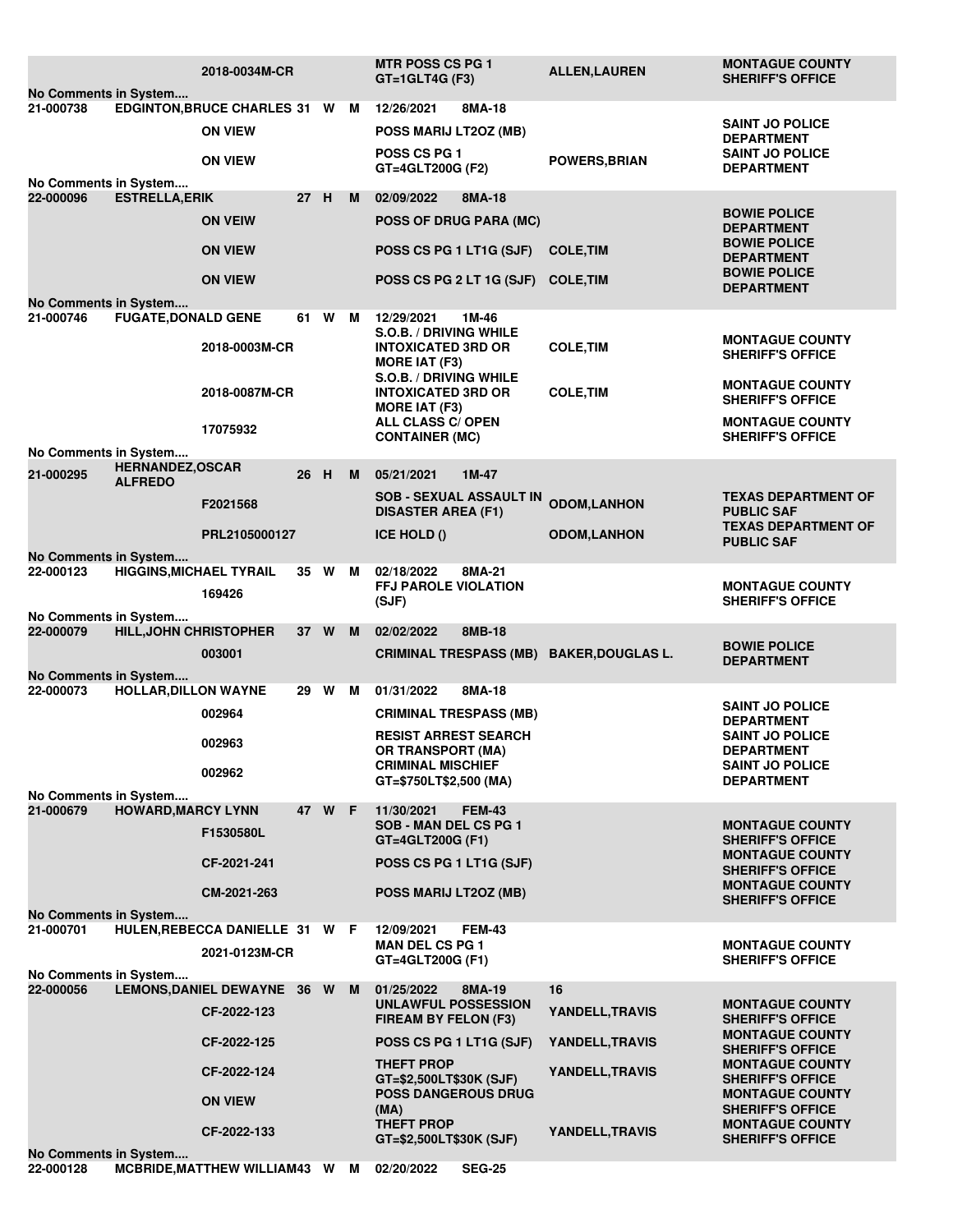|                                                                                              |                                           | 2018-0034M-CR                  |      |        |   | <b>MTR POSS CS PG 1</b><br>$GT = 1$ GLT4G (F3)             | <b>ALLEN, LAUREN</b>   | <b>MONTAGUE COUNTY</b><br><b>SHERIFF'S OFFICE</b> |  |  |  |  |
|----------------------------------------------------------------------------------------------|-------------------------------------------|--------------------------------|------|--------|---|------------------------------------------------------------|------------------------|---------------------------------------------------|--|--|--|--|
| No Comments in System<br>8MA-18<br>21-000738<br>EDGINTON, BRUCE CHARLES 31 W M<br>12/26/2021 |                                           |                                |      |        |   |                                                            |                        |                                                   |  |  |  |  |
|                                                                                              |                                           | <b>ON VIEW</b>                 |      |        |   |                                                            |                        | <b>SAINT JO POLICE</b>                            |  |  |  |  |
|                                                                                              |                                           |                                |      |        |   | POSS MARIJ LT2OZ (MB)                                      |                        | <b>DEPARTMENT</b>                                 |  |  |  |  |
|                                                                                              |                                           | <b>ON VIEW</b>                 |      |        |   | <b>POSS CS PG 1</b>                                        | <b>POWERS, BRIAN</b>   | <b>SAINT JO POLICE</b>                            |  |  |  |  |
| GT=4GLT200G (F2)<br><b>DEPARTMENT</b><br>No Comments in System                               |                                           |                                |      |        |   |                                                            |                        |                                                   |  |  |  |  |
| 22-000096                                                                                    | <b>ESTRELLA, ERIK</b>                     |                                | 27 H |        | м | 02/09/2022<br>8MA-18                                       |                        |                                                   |  |  |  |  |
|                                                                                              |                                           |                                |      |        |   |                                                            |                        | <b>BOWIE POLICE</b>                               |  |  |  |  |
|                                                                                              |                                           | <b>ON VEIW</b>                 |      |        |   | <b>POSS OF DRUG PARA (MC)</b>                              |                        | <b>DEPARTMENT</b>                                 |  |  |  |  |
|                                                                                              |                                           | <b>ON VIEW</b>                 |      |        |   | POSS CS PG 1 LT1G (SJF)                                    | <b>COLE, TIM</b>       | <b>BOWIE POLICE</b>                               |  |  |  |  |
|                                                                                              |                                           |                                |      |        |   |                                                            |                        | <b>DEPARTMENT</b>                                 |  |  |  |  |
|                                                                                              |                                           | <b>ON VIEW</b>                 |      |        |   | POSS CS PG 2 LT 1G (SJF)                                   | <b>COLE, TIM</b>       | <b>BOWIE POLICE</b>                               |  |  |  |  |
| <b>DEPARTMENT</b><br>No Comments in System                                                   |                                           |                                |      |        |   |                                                            |                        |                                                   |  |  |  |  |
| 21-000746                                                                                    | <b>FUGATE, DONALD GENE</b>                |                                |      | 61 W   | M | 12/29/2021<br>1M-46                                        |                        |                                                   |  |  |  |  |
|                                                                                              |                                           |                                |      |        |   | S.O.B. / DRIVING WHILE                                     |                        | <b>MONTAGUE COUNTY</b>                            |  |  |  |  |
|                                                                                              |                                           | 2018-0003M-CR                  |      |        |   | <b>INTOXICATED 3RD OR</b>                                  | <b>COLE, TIM</b>       | <b>SHERIFF'S OFFICE</b>                           |  |  |  |  |
|                                                                                              |                                           |                                |      |        |   | <b>MORE IAT (F3)</b>                                       |                        |                                                   |  |  |  |  |
|                                                                                              |                                           | 2018-0087M-CR                  |      |        |   | <b>S.O.B. / DRIVING WHILE</b><br><b>INTOXICATED 3RD OR</b> | <b>COLE, TIM</b>       | <b>MONTAGUE COUNTY</b>                            |  |  |  |  |
|                                                                                              |                                           |                                |      |        |   | <b>MORE IAT (F3)</b>                                       |                        | <b>SHERIFF'S OFFICE</b>                           |  |  |  |  |
|                                                                                              |                                           | 17075932                       |      |        |   | ALL CLASS C/ OPEN                                          |                        | <b>MONTAGUE COUNTY</b>                            |  |  |  |  |
|                                                                                              |                                           |                                |      |        |   | <b>CONTAINER (MC)</b>                                      |                        | <b>SHERIFF'S OFFICE</b>                           |  |  |  |  |
| No Comments in System                                                                        |                                           |                                |      |        |   |                                                            |                        |                                                   |  |  |  |  |
| 21-000295                                                                                    | <b>HERNANDEZ, OSCAR</b><br><b>ALFREDO</b> |                                | 26 H |        | M | 05/21/2021<br>$1M-47$                                      |                        |                                                   |  |  |  |  |
|                                                                                              |                                           |                                |      |        |   | <b>SOB - SEXUAL ASSAULT IN</b>                             |                        | <b>TEXAS DEPARTMENT OF</b>                        |  |  |  |  |
|                                                                                              |                                           | F2021568                       |      |        |   | <b>DISASTER AREA (F1)</b>                                  | <b>ODOM,LANHON</b>     | <b>PUBLIC SAF</b>                                 |  |  |  |  |
|                                                                                              |                                           | PRL2105000127                  |      |        |   | <b>ICE HOLD ()</b>                                         | <b>ODOM,LANHON</b>     | <b>TEXAS DEPARTMENT OF</b>                        |  |  |  |  |
|                                                                                              |                                           |                                |      |        |   |                                                            |                        | <b>PUBLIC SAF</b>                                 |  |  |  |  |
| No Comments in System<br>22-000123                                                           | <b>HIGGINS, MICHAEL TYRAIL</b>            |                                |      | 35 W M |   | 02/18/2022<br>8MA-21                                       |                        |                                                   |  |  |  |  |
|                                                                                              |                                           |                                |      |        |   | FFJ PAROLE VIOLATION                                       |                        | <b>MONTAGUE COUNTY</b>                            |  |  |  |  |
|                                                                                              |                                           | 169426                         |      |        |   | (SJF)                                                      |                        | <b>SHERIFF'S OFFICE</b>                           |  |  |  |  |
| No Comments in System                                                                        |                                           |                                |      |        |   |                                                            |                        |                                                   |  |  |  |  |
| 22-000079                                                                                    | <b>HILL, JOHN CHRISTOPHER</b>             |                                | 37 W |        | M | 02/02/2022<br>8MB-18                                       |                        |                                                   |  |  |  |  |
|                                                                                              |                                           | 003001                         |      |        |   | CRIMINAL TRESPASS (MB) BAKER, DOUGLAS L.                   |                        | <b>BOWIE POLICE</b><br><b>DEPARTMENT</b>          |  |  |  |  |
| No Comments in System                                                                        |                                           |                                |      |        |   |                                                            |                        |                                                   |  |  |  |  |
| 22-000073                                                                                    | <b>HOLLAR, DILLON WAYNE</b>               |                                | 29 W |        | М | 01/31/2022<br>8MA-18                                       |                        |                                                   |  |  |  |  |
|                                                                                              |                                           | 002964                         |      |        |   | <b>CRIMINAL TRESPASS (MB)</b>                              |                        | <b>SAINT JO POLICE</b>                            |  |  |  |  |
|                                                                                              |                                           |                                |      |        |   |                                                            |                        | <b>DEPARTMENT</b>                                 |  |  |  |  |
|                                                                                              |                                           | 002963                         |      |        |   | <b>RESIST ARREST SEARCH</b><br><b>OR TRANSPORT (MA)</b>    |                        | <b>SAINT JO POLICE</b><br><b>DEPARTMENT</b>       |  |  |  |  |
|                                                                                              |                                           |                                |      |        |   | <b>CRIMINAL MISCHIEF</b>                                   |                        | <b>SAINT JO POLICE</b>                            |  |  |  |  |
|                                                                                              |                                           | 002962                         |      |        |   | GT=\$750LT\$2,500 (MA)                                     |                        | <b>DEPARTMENT</b>                                 |  |  |  |  |
| No Comments in System                                                                        |                                           |                                |      |        |   |                                                            |                        |                                                   |  |  |  |  |
| 21-000679                                                                                    | <b>HOWARD, MARCY LYNN</b>                 |                                |      | 47 W F |   | 11/30/2021<br><b>FEM-43</b><br>SOB - MAN DEL CS PG 1       |                        |                                                   |  |  |  |  |
|                                                                                              |                                           | F1530580L                      |      |        |   | GT=4GLT200G (F1)                                           |                        | <b>MONTAGUE COUNTY</b><br><b>SHERIFF'S OFFICE</b> |  |  |  |  |
|                                                                                              |                                           |                                |      |        |   |                                                            |                        | <b>MONTAGUE COUNTY</b>                            |  |  |  |  |
|                                                                                              |                                           | CF-2021-241                    |      |        |   | POSS CS PG 1 LT1G (SJF)                                    |                        | <b>SHERIFF'S OFFICE</b>                           |  |  |  |  |
|                                                                                              |                                           | CM-2021-263                    |      |        |   | POSS MARIJ LT2OZ (MB)                                      |                        | <b>MONTAGUE COUNTY</b>                            |  |  |  |  |
| No Comments in System                                                                        |                                           |                                |      |        |   |                                                            |                        | <b>SHERIFF'S OFFICE</b>                           |  |  |  |  |
| 21-000701                                                                                    |                                           | HULEN, REBECCA DANIELLE 31 W F |      |        |   | 12/09/2021<br><b>FEM-43</b>                                |                        |                                                   |  |  |  |  |
|                                                                                              |                                           |                                |      |        |   | <b>MAN DEL CS PG 1</b>                                     |                        | <b>MONTAGUE COUNTY</b>                            |  |  |  |  |
|                                                                                              |                                           | 2021-0123M-CR                  |      |        |   | GT=4GLT200G (F1)                                           |                        | <b>SHERIFF'S OFFICE</b>                           |  |  |  |  |
| No Comments in System                                                                        |                                           |                                |      |        |   |                                                            |                        |                                                   |  |  |  |  |
| 22-000056                                                                                    |                                           | LEMONS, DANIEL DEWAYNE 36 W    |      |        | M | 01/25/2022<br>8MA-19<br>UNLAWFUL POSSESSION                | 16                     | <b>MONTAGUE COUNTY</b>                            |  |  |  |  |
|                                                                                              |                                           | CF-2022-123                    |      |        |   | YANDELL, TRAVIS<br>FIREAM BY FELON (F3)                    |                        | <b>SHERIFF'S OFFICE</b>                           |  |  |  |  |
|                                                                                              |                                           |                                |      |        |   |                                                            |                        | <b>MONTAGUE COUNTY</b>                            |  |  |  |  |
|                                                                                              |                                           | CF-2022-125                    |      |        |   | POSS CS PG 1 LT1G (SJF)                                    | YANDELL, TRAVIS        | <b>SHERIFF'S OFFICE</b>                           |  |  |  |  |
|                                                                                              |                                           | CF-2022-124                    |      |        |   | <b>THEFT PROP</b>                                          | YANDELL, TRAVIS        | <b>MONTAGUE COUNTY</b>                            |  |  |  |  |
|                                                                                              |                                           |                                |      |        |   | GT=\$2,500LT\$30K (SJF)<br><b>POSS DANGEROUS DRUG</b>      |                        | <b>SHERIFF'S OFFICE</b><br><b>MONTAGUE COUNTY</b> |  |  |  |  |
|                                                                                              |                                           | <b>ON VIEW</b>                 |      |        |   | (MA)                                                       |                        | <b>SHERIFF'S OFFICE</b>                           |  |  |  |  |
|                                                                                              |                                           | CF-2022-133                    |      |        |   | <b>THEFT PROP</b>                                          | <b>YANDELL, TRAVIS</b> | <b>MONTAGUE COUNTY</b>                            |  |  |  |  |
|                                                                                              |                                           |                                |      |        |   | GT=\$2,500LT\$30K (SJF)                                    |                        | <b>SHERIFF'S OFFICE</b>                           |  |  |  |  |
|                                                                                              | No Comments in System                     |                                |      |        |   |                                                            |                        |                                                   |  |  |  |  |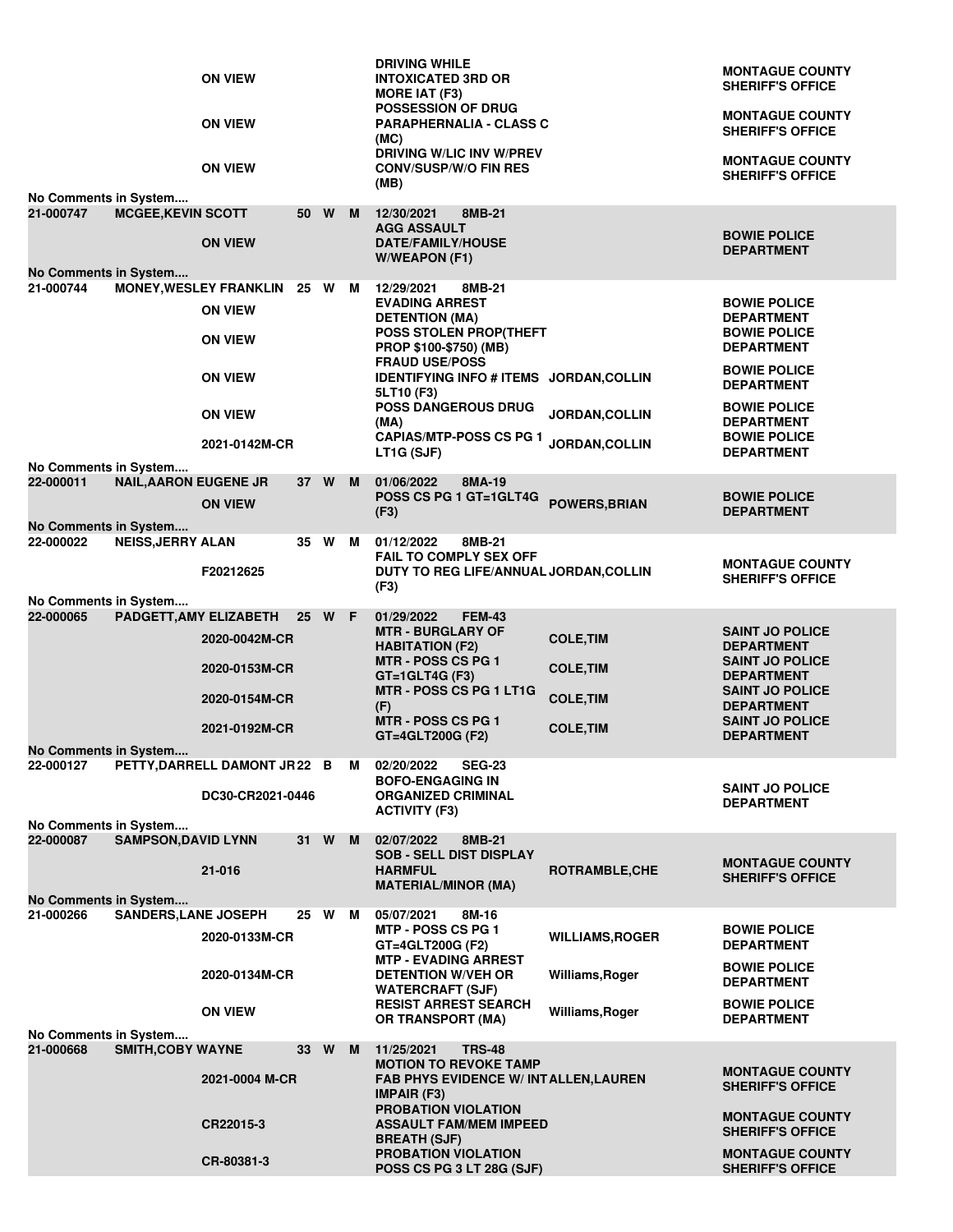|                                                                                           | <b>ON VIEW</b><br><b>ON VIEW</b><br><b>ON VIEW</b>                                         |      |        | <b>DRIVING WHILE</b><br><b>INTOXICATED 3RD OR</b><br><b>MORE IAT (F3)</b><br><b>POSSESSION OF DRUG</b><br><b>PARAPHERNALIA - CLASS C</b><br>(MC)<br><b>DRIVING W/LIC INV W/PREV</b><br><b>CONV/SUSP/W/O FIN RES</b>                                                                 |                                                                              | <b>MONTAGUE COUNTY</b><br><b>SHERIFF'S OFFICE</b><br><b>MONTAGUE COUNTY</b><br><b>SHERIFF'S OFFICE</b><br><b>MONTAGUE COUNTY</b><br><b>SHERIFF'S OFFICE</b>                              |
|-------------------------------------------------------------------------------------------|--------------------------------------------------------------------------------------------|------|--------|-------------------------------------------------------------------------------------------------------------------------------------------------------------------------------------------------------------------------------------------------------------------------------------|------------------------------------------------------------------------------|------------------------------------------------------------------------------------------------------------------------------------------------------------------------------------------|
| No Comments in System<br><b>MCGEE, KEVIN SCOTT</b><br>21-000747                           | <b>ON VIEW</b>                                                                             |      | 50 W M | (MB)<br>12/30/2021<br>8MB-21<br><b>AGG ASSAULT</b><br><b>DATE/FAMILY/HOUSE</b><br><b>W/WEAPON (F1)</b>                                                                                                                                                                              |                                                                              | <b>BOWIE POLICE</b><br><b>DEPARTMENT</b>                                                                                                                                                 |
| No Comments in System<br>21-000744                                                        | MONEY, WESLEY FRANKLIN 25 W M<br><b>ON VIEW</b><br><b>ON VIEW</b><br><b>ON VIEW</b>        |      |        | 12/29/2021<br>8MB-21<br><b>EVADING ARREST</b><br><b>DETENTION (MA)</b><br>POSS STOLEN PROP(THEFT<br><b>PROP \$100-\$750) (MB)</b><br><b>FRAUD USE/POSS</b><br>IDENTIFYING INFO # ITEMS JORDAN, COLLIN<br>5LT10 (F3)<br>POSS DANGEROUS DRUG                                          |                                                                              | <b>BOWIE POLICE</b><br><b>DEPARTMENT</b><br><b>BOWIE POLICE</b><br><b>DEPARTMENT</b><br><b>BOWIE POLICE</b><br><b>DEPARTMENT</b>                                                         |
| No Comments in System                                                                     | <b>ON VIEW</b><br>2021-0142M-CR                                                            |      |        | (MA)<br><b>CAPIAS/MTP-POSS CS PG 1</b><br>LT1G (SJF)                                                                                                                                                                                                                                | <b>JORDAN, COLLIN</b><br><b>JORDAN,COLLIN</b>                                | <b>BOWIE POLICE</b><br><b>DEPARTMENT</b><br><b>BOWIE POLICE</b><br><b>DEPARTMENT</b>                                                                                                     |
| <b>NAIL, AARON EUGENE JR</b><br>22-000011<br>No Comments in System                        | <b>ON VIEW</b>                                                                             |      | 37 W M | 01/06/2022<br>8MA-19<br>POSS CS PG 1 GT=1GLT4G<br>(F3)                                                                                                                                                                                                                              | <b>POWERS, BRIAN</b>                                                         | <b>BOWIE POLICE</b><br><b>DEPARTMENT</b>                                                                                                                                                 |
| <b>NEISS, JERRY ALAN</b><br>22-000022                                                     | F20212625                                                                                  |      | 35 W M | 01/12/2022<br>8MB-21<br><b>FAIL TO COMPLY SEX OFF</b><br>DUTY TO REG LIFE/ANNUAL JORDAN, COLLIN<br>(F3)                                                                                                                                                                             |                                                                              | <b>MONTAGUE COUNTY</b><br><b>SHERIFF'S OFFICE</b>                                                                                                                                        |
| No Comments in System<br>22-000065<br>No Comments in System                               | PADGETT, AMY ELIZABETH<br>2020-0042M-CR<br>2020-0153M-CR<br>2020-0154M-CR<br>2021-0192M-CR |      | 25 W F | 01/29/2022<br><b>FEM-43</b><br><b>MTR - BURGLARY OF</b><br><b>HABITATION (F2)</b><br><b>MTR - POSS CS PG 1</b><br>$GT = 1$ GLT4G (F3)<br>MTR - POSS CS PG 1 LT1G<br>(F)<br><b>MTR - POSS CS PG 1</b><br>GT=4GLT200G (F2)                                                            | <b>COLE, TIM</b><br><b>COLE, TIM</b><br><b>COLE, TIM</b><br><b>COLE, TIM</b> | <b>SAINT JO POLICE</b><br><b>DEPARTMENT</b><br><b>SAINT JO POLICE</b><br><b>DEPARTMENT</b><br><b>SAINT JO POLICE</b><br><b>DEPARTMENT</b><br><b>SAINT JO POLICE</b><br><b>DEPARTMENT</b> |
| 22-000127                                                                                 | PETTY, DARRELL DAMONT JR22 B M<br>DC30-CR2021-0446                                         |      |        | 02/20/2022<br><b>SEG-23</b><br><b>BOFO-ENGAGING IN</b><br><b>ORGANIZED CRIMINAL</b><br><b>ACTIVITY (F3)</b>                                                                                                                                                                         |                                                                              | <b>SAINT JO POLICE</b><br><b>DEPARTMENT</b>                                                                                                                                              |
| No Comments in System<br><b>SAMPSON, DAVID LYNN</b><br>22-000087<br>No Comments in System | 21-016                                                                                     |      | 31 W M | 02/07/2022<br>8MB-21<br><b>SOB - SELL DIST DISPLAY</b><br><b>HARMFUL</b><br><b>MATERIAL/MINOR (MA)</b>                                                                                                                                                                              | <b>ROTRAMBLE, CHE</b>                                                        | <b>MONTAGUE COUNTY</b><br><b>SHERIFF'S OFFICE</b>                                                                                                                                        |
| <b>SANDERS, LANE JOSEPH</b><br>21-000266                                                  | 2020-0133M-CR<br>2020-0134M-CR<br><b>ON VIEW</b>                                           |      | 25 W M | 05/07/2021<br>8M-16<br><b>MTP - POSS CS PG 1</b><br>GT=4GLT200G (F2)<br><b>MTP - EVADING ARREST</b><br><b>DETENTION W/VEH OR</b><br><b>WATERCRAFT (SJF)</b><br><b>RESIST ARREST SEARCH</b><br><b>OR TRANSPORT (MA)</b>                                                              | <b>WILLIAMS, ROGER</b><br>Williams, Roger<br>Williams, Roger                 | <b>BOWIE POLICE</b><br><b>DEPARTMENT</b><br><b>BOWIE POLICE</b><br><b>DEPARTMENT</b><br><b>BOWIE POLICE</b><br><b>DEPARTMENT</b>                                                         |
| No Comments in System<br><b>SMITH, COBY WAYNE</b><br>21-000668                            | 2021-0004 M-CR<br>CR22015-3<br>CR-80381-3                                                  | 33 W | M      | 11/25/2021<br><b>TRS-48</b><br><b>MOTION TO REVOKE TAMP</b><br><b>FAB PHYS EVIDENCE W/ INT ALLEN, LAUREN</b><br><b>IMPAIR (F3)</b><br><b>PROBATION VIOLATION</b><br><b>ASSAULT FAM/MEM IMPEED</b><br><b>BREATH (SJF)</b><br><b>PROBATION VIOLATION</b><br>POSS CS PG 3 LT 28G (SJF) |                                                                              | <b>MONTAGUE COUNTY</b><br><b>SHERIFF'S OFFICE</b><br><b>MONTAGUE COUNTY</b><br><b>SHERIFF'S OFFICE</b><br><b>MONTAGUE COUNTY</b><br><b>SHERIFF'S OFFICE</b>                              |